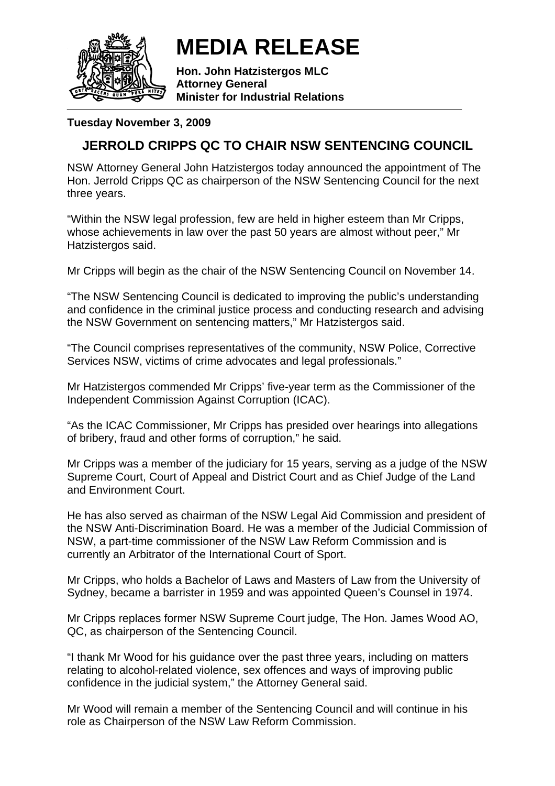

**MEDIA RELEASE** 

**Hon. John Hatzistergos MLC Attorney General Minister for Industrial Relations** 

## **Tuesday November 3, 2009**

## **JERROLD CRIPPS QC TO CHAIR NSW SENTENCING COUNCIL**

NSW Attorney General John Hatzistergos today announced the appointment of The Hon. Jerrold Cripps QC as chairperson of the NSW Sentencing Council for the next three years.

"Within the NSW legal profession, few are held in higher esteem than Mr Cripps, whose achievements in law over the past 50 years are almost without peer," Mr Hatzistergos said.

Mr Cripps will begin as the chair of the NSW Sentencing Council on November 14.

"The NSW Sentencing Council is dedicated to improving the public's understanding and confidence in the criminal justice process and conducting research and advising the NSW Government on sentencing matters," Mr Hatzistergos said.

"The Council comprises representatives of the community, NSW Police, Corrective Services NSW, victims of crime advocates and legal professionals."

Mr Hatzistergos commended Mr Cripps' five-year term as the Commissioner of the Independent Commission Against Corruption (ICAC).

"As the ICAC Commissioner, Mr Cripps has presided over hearings into allegations of bribery, fraud and other forms of corruption," he said.

Mr Cripps was a member of the judiciary for 15 years, serving as a judge of the NSW Supreme Court, Court of Appeal and District Court and as Chief Judge of the Land and Environment Court.

He has also served as chairman of the NSW Legal Aid Commission and president of the NSW Anti-Discrimination Board. He was a member of the Judicial Commission of NSW, a part-time commissioner of the NSW Law Reform Commission and is currently an Arbitrator of the International Court of Sport.

Mr Cripps, who holds a Bachelor of Laws and Masters of Law from the University of Sydney, became a barrister in 1959 and was appointed Queen's Counsel in 1974.

Mr Cripps replaces former NSW Supreme Court judge, The Hon. James Wood AO, QC, as chairperson of the Sentencing Council.

"I thank Mr Wood for his guidance over the past three years, including on matters relating to alcohol-related violence, sex offences and ways of improving public confidence in the judicial system," the Attorney General said.

Mr Wood will remain a member of the Sentencing Council and will continue in his role as Chairperson of the NSW Law Reform Commission.